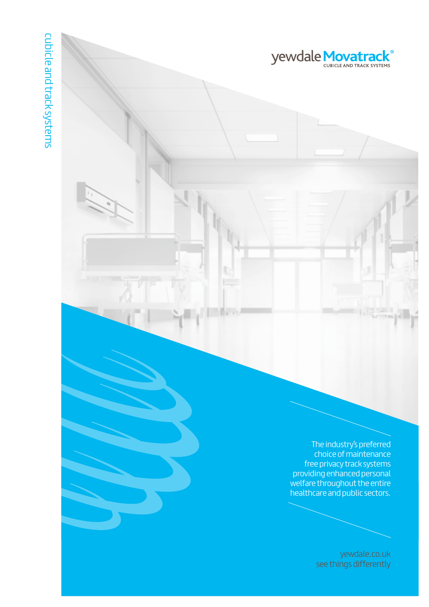The industry's preferred choice of maintenance free privacy track systems providing enhanced personal welfare throughout the entire healthcare and public sectors.

**yewdale** Movatrack

[yewdale.co.uk](http://www.yewdale.co.uk) see things differently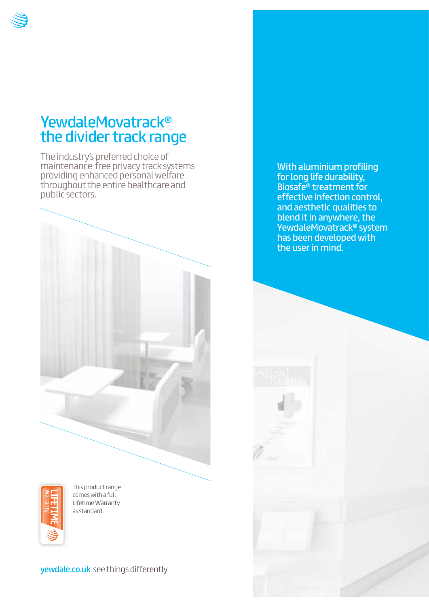

The industry's preferred choice of maintenance-free privacy track systems providing enhanced personal welfare throughout the entire healthcare and public sectors.



Warranty

This product range comes with a full Lifetime Warranty as standard.

yewdale.co.uk [see things differently](http://www.yewdale.co.uk)

With aluminium profiling for long life durability, Biosafe® treatment for effective infection control, and aesthetic qualities to blend it in anywhere, the YewdaleMovatrack® system has been developed with the user in mind.

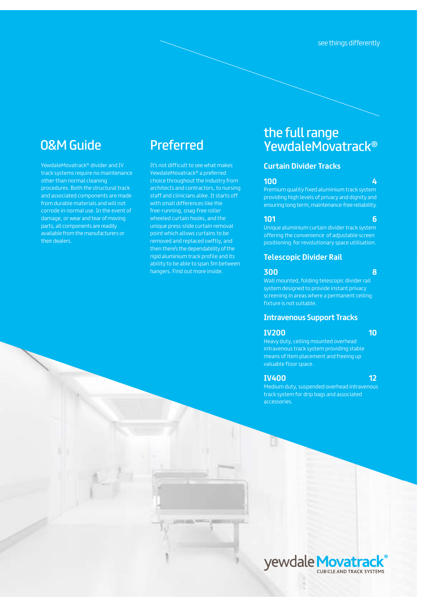# O&M Guide Preferred

YewdaleMovatrack® divider and IV track systems require no maintenance other than normal cleaning procedures. Both the structural track and associated components are made from durable materials and will not corrode in normal use. In the event of damage, or wear and tear of moving parts, all components are readily available from the manufacturers or their dealers.

It's not difficult to see what makes YewdaleMovatrack® a preferred choice throughout the industry from architects and contractors, to nursing staff and clinicians alike. It starts off with small differences like the free-running, snag-free roller wheeled curtain hooks, and the unique press-slide curtain removal point which allows curtains to be removed and replaced swiftly, and then there's the dependability of the rigid aluminium track profile and its ability to be able to span 3m between hangers. Find out more inside.

# the full range YewdaleMovatrack®

# **Curtain Divider Tracks**

### **100 4**

Premium quality fixed aluminium track system providing high levels of privacy and dignity and ensuring long term, maintenance-free reliability.

### **101 6**

Unique aluminium curtain divider track system offering the convenience of adjustable screen positioning for revolutionary space utilisation.

### **Telescopic Divider Rail**

### **300 8**

Wall mounted, folding telescopic divider rail system designed to provide instant privacy

### **Intravenous Support Tracks**

### **IV200** 10

Heavy duty, ceiling mounted overhead means of item placement and freeing up valuable floor space.

### **IV400 12**

Medium duty, suspended overhead intravenous track system for drip bags and associated accessories.

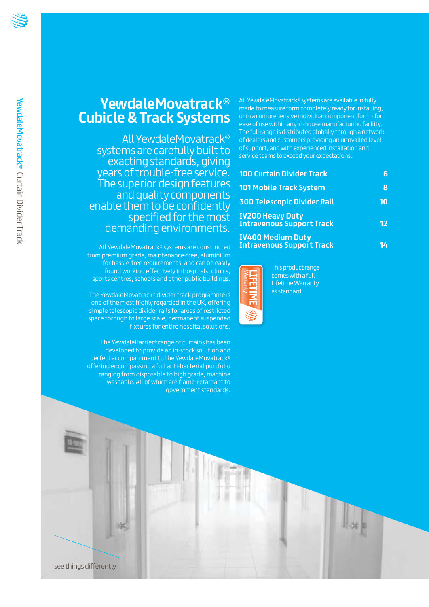# **YewdaleMovatrack**® **Cubicle & Track Systems**

All YewdaleMovatrack® systems are carefully built to exacting standards, giving years of trouble-free service. The superior design features and quality components enable them to be confidently specified for the most demanding environments.

All YewdaleMovatrack® systems are constructed from premium grade, maintenance-free, aluminium for hassle-free requirements, and can be easily found working effectively in hospitals, clinics, sports centres, schools and other public buildings.

The YewdaleMovatrack® divider track programme is one of the most highly regarded in the UK, offering simple telescopic divider rails for areas of restricted space through to large scale, permanent suspended fixtures for entire hospital solutions.

The YewdaleHarrier® range of curtains has been developed to provide an in-stock solution and perfect accompaniment to the YewdaleMovatrack® offering encompassing a full anti-bacterial portfolio ranging from disposable to high grade, machine washable. All of which are flame-retardant to government standards.

All YewdaleMovatrack® systems are available in fully made to measure form completely ready for installing, or in a comprehensive individual component form - for ease of use within any in-house manufacturing facility. The full range is distributed globally through a network of dealers and customers providing an unrivalled level of support, and with experienced installation and service teams to exceed your expectations.

| <b>100 Curtain Divider Track</b>                             |    |
|--------------------------------------------------------------|----|
| <b>101 Mobile Track System</b>                               | Ջ  |
| <b>300 Telescopic Divider Rail</b>                           | 10 |
| <b>IV200 Heavy Duty<br/>Intravenous Support Track</b>        | 12 |
| <b>IV400 Medium Duty</b><br><b>Intravenous Support Track</b> |    |



This product range comes with a full Lifetime Warranty as standard.



see things differently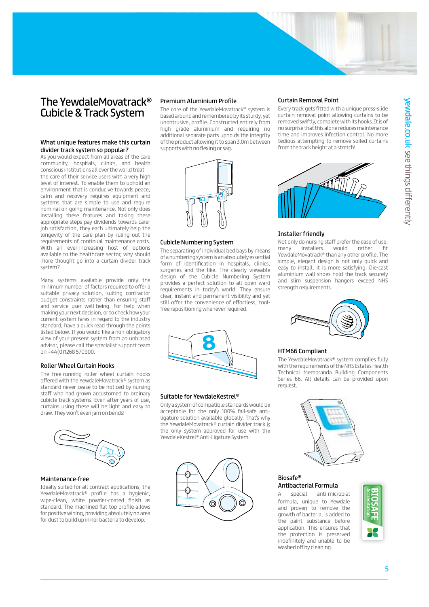

# The YewdaleMovatrack® Cubicle & Track System

### What unique features make this curtain divider track system so popular?

As you would expect from all areas of the care community, hospitals, clinics, and health conscious institutions all over the world treat the care of their service users with a very high level of interest. To enable them to uphold an environment that is conducive towards peace, calm and recovery requires equipment and systems that are simple to use and require nominal on-going maintenance. Not only does installing these features and taking these appropriate steps pay dividends towards carer job satisfaction, they each ultimately help the longevity of the care plan by ruling out the requirements of continual maintenance costs. With an ever-increasing host of options available to the healthcare sector, why should more thought go into a curtain divider track system?

Many systems available provide only the minimum number of factors required to offer a suitable privacy solution, suiting contractor budget constraints rather than ensuring sta and service user well-being. For help when making your next decision, or to check how your current system fares in regard to the industry standard, have a quick read through the points listed below. If you would like a non-obligatory view of your present system from an unbiased advisor, please call the specialist support team on +44(0)1268 570900.

### Roller Wheel Curtain Hooks

The free-running roller wheel curtain hooks offered with the YewdaleMovatrack® system as standard never cease to be noticed by nursing staff who had grown accustomed to ordinary cubicle track systems. Even after years of use, curtains using these will be light and easy to draw. They won't even jam on bends!



#### Maintenance-free

Ideally suited for all contract applications, the YewdaleMovatrack® profile has a hygienic, wipe-clean, white powder-coated finish as standard. The machined flat top profile allows for positive wiping, providing absolutely no area for dust to build up in nor bacteria to develop.

### Premium Aluminium Profile

The core of the YewdaleMovatrack® system is based around and remembered by its sturdy, yet unobtrusive, profile. Constructed entirely from high grade aluminium and requiring no additional separate parts upholds the integrity of the product allowing it to span 3.0m between supports with no flexing or sag.



#### Cubicle Numbering System

The separating of individual bed bays by means of a numbering system is an absolutely essential form of identification in hospitals, clinics, surgeries and the like. The clearly viewable design of the Cubicle Numbering System provides a perfect solution to all open ward requirements in today's world. They ensure clear, instant and permanent visibility and yet still offer the convenience of effortless, toolfree repositioning whenever required.



#### Suitable for YewdaleKestrel®

Only a system of compatible standards would be acceptable for the only 100% fail-safe antiligature solution available globally. That's why Only a system of compatible standards would be<br>acceptable for the only 100% fail-safe anti-<br>ligature solution available globally. That's why<br>the YewdaleMovatrack® curtain divider track is the only system approved for use with the YewdaleKestrel® Anti-Ligature System.



#### Curtain Removal Point

Every track gets fitted with a unique press-slide curtain removal point allowing curtains to be removed swiftly, complete with its hooks. It is of no surprise that this alone reduces maintenance time and improves infection control. No more tedious attempting to remove soiled curtains from the track height at a stretch!



#### Installer friendly

Not only do nursing staff prefer the ease of use,<br>many installers would rather fit many installers would rather fit YewdaleMovatrack® than any other profile. The simple, elegant design is not only quick and easy to install, it is more satisfying. Die-cast aluminium wall shoes hold the track securely and slim suspension hangers exceed NHS strength requirements.



#### HTM66 Compliant

The YewdaleMovatrack® system complies fully with the requirements of the NHS Estates Health Technical Memoranda Building Components Series 66. All details can be provided upon request.



### Biosafe® Antibacterial Formula

special anti-microbial formula, unique to Yewdale and proven to remove the growth of bacteria, is added to the paint substance before application. This ensures that the protection is preserved indefinitely and unable to be washed off by cleaning.

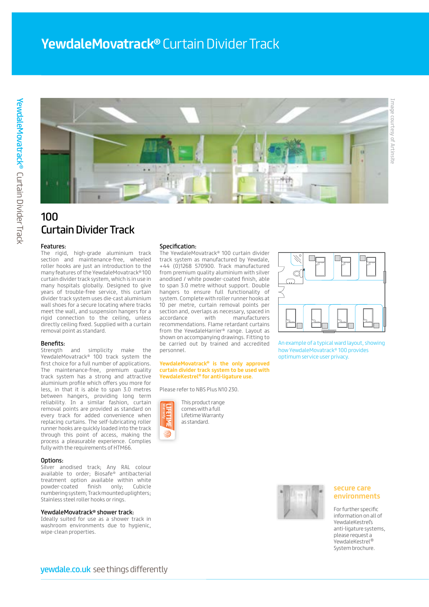

# 100 Curtain Divider Track

#### Features:

The rigid, high-grade aluminium track section and maintenance-free, wheeled roller hooks are just an introduction to the many features of the YewdaleMovatrack® 100 curtain divider track system, which is in use in many hospitals globally. Designed to give years of trouble-free service, this curtain divider track system uses die-cast aluminium wall shoes for a secure locating where tracks meet the wall, and suspension hangers for a rigid connection to the ceiling, unless directly ceiling fixed. Supplied with a curtain removal point as standard.

#### Benefits:

Strength and simplicity make the YewdaleMovatrack® 100 track system the first choice for a full number of applications. The maintenance-free, premium quality track system has a strong and attractive aluminium profile which offers you more for less, in that it is able to span 3.0 metres between hangers, providing long term reliability. In a similar fashion, curtain removal points are provided as standard on every track for added convenience when replacing curtains. The self-lubricating roller runner hooks are quickly loaded into the track through this point of access, making the process a pleasurable experience. Complies fully with the requirements of HTM66.

#### Options:

Silver anodised track; Any RAL colour available to order; Biosafe® antibacterial treatment option available within white powder-coated finish only; Cubicle numbering system; Track mounted uplighters; Stainless steel roller hooks or rings.

#### YewdaleMovatrack® shower track:

Ideally suited for use as a shower track in washroom environments due to hygienic, wipe-clean properties.

#### Specification:

The YewdaleMovatrack® 100 curtain divider track system as manufactured by Yewdale, +44 (0)1268 570900. Track manufactured from premium quality aluminium with silver anodised / white powder-coated finish, able to span 3.0 metre without support. Double hangers to ensure full functionality of system. Complete with roller runner hooks at 10 per metre, curtain removal points per section and, overlaps as necessary, spaced in accordance with manufacturers recommendations. Flame retardant curtains from the YewdaleHarrier® range. Layout as shown on accompanying drawings. Fitting to be carried out by trained and accredited personnel.

#### **YewdaleMovatrack® is the only approved curtain divider track system to be used with YewdaleKestrel® for anti-ligature use.**

Please refer to NBS Plus N10 230.

This product range comes with a full Lifetime Warranty as standard.

Warranty



An example of a typical ward layout, showing how YewdaleMovatrack® 100 provides optimum service user privacy.



### **secure care environments**

For further specific information on all of YewdaleKestrel's anti-ligature systems, please request a YewdaleKestrel® System brochure.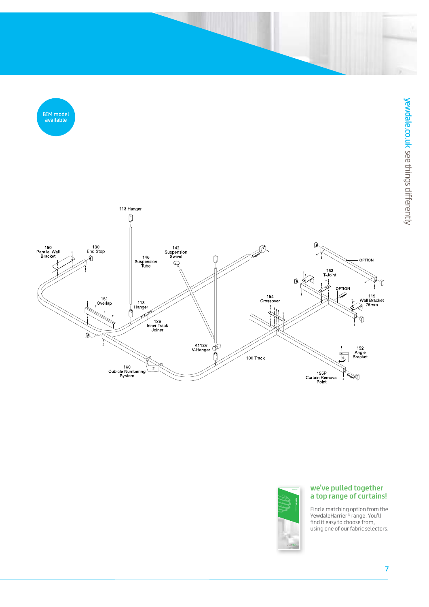[BIM model](http://www.yewdale.co.uk/prod/100-curtain-divider-track)  available





## **we've pulled together a top range of curtains!**

Find a matching option from the YewdaleHarrier ® range. You'll find it easy to choose from, that it case to enobse from,<br>using one of our fabric selectors. **medway**fabric selector yewdale.co.uk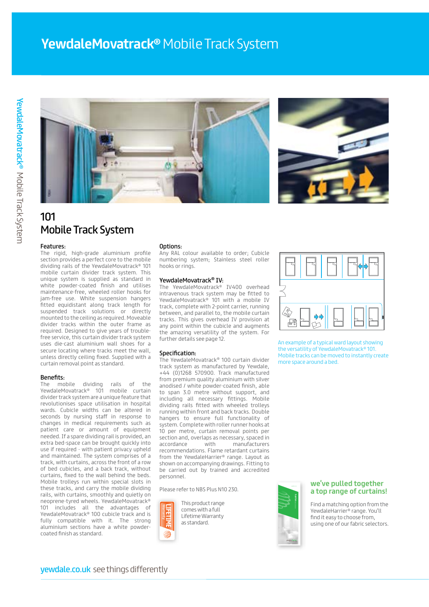# **YewdaleMovatrack®** Mobile Track System





# 101 Mobile Track System

#### Features:

The rigid, high-grade aluminium profile section provides a perfect core to the mobile dividing rails of the YewdaleMovatrack® 101 mobile curtain divider track system. This unique system is supplied as standard in white powder-coated finish and utilises maintenance-free, wheeled roller hooks for jam-free use. White suspension hangers fitted equidistant along track length for suspended track solutions or directly mounted to the ceiling as required. Moveable divider tracks within the outer frame as required. Designed to give years of troublefree service, this curtain divider track system uses die-cast aluminium wall shoes for a secure locating where tracks meet the wall, unless directly ceiling fixed. Supplied with a curtain removal point as standard.

#### Benefits:

The mobile dividing rails of the YewdaleMovatrack® 101 mobile curtain divider track system are a unique feature that revolutionises space utilisation in hospital wards. Cubicle widths can be altered in seconds by nursing staff in response to changes in medical requirements such as patient care or amount of equipment needed. If a spare dividing rail is provided, an extra bed-space can be brought quickly into use if required - with patient privacy upheld and maintained. The system comprises of a track, with curtains, across the front of a row of bed cubicles, and a back track, without curtains, fixed to the wall behind the beds. Mobile trolleys run within special slots in these tracks, and carry the mobile dividing rails, with curtains, smoothly and quietly on neoprene-tyred wheels. YewdaleMovatrack® 101 includes all the advantages of YewdaleMovatrack® 100 cubicle track and is fully compatible with it. The strong aluminium sections have a white powdercoated finish as standard.

#### Options:

Any RAL colour available to order; Cubicle numbering system; Stainless steel roller hooks or rings.

#### YewdaleMovatrack® IV:

The YewdaleMovatrack® IV400 overhead intravenous track system may be fitted to YewdaleMovatrack® 101 with a mobile IV track, complete with 2-point carrier, running between, and parallel to, the mobile curtain tracks. This gives overhead IV provision at any point within the cubicle and augments the amazing versatility of the system. For further details see page 12.

#### Specification:

The YewdaleMovatrack® 100 curtain divider track system as manufactured by Yewdale, +44 (0)1268 570900. Track manufactured from premium quality aluminium with silver anodised / white powder-coated finish, able to span 3.0 metre without support, and including all necessary fittings. Mobile dividing rails fitted with wheeled trolleys running within front and back tracks. Double hangers to ensure full functionality of system. Complete with roller runner hooks at 10 per metre, curtain removal points per section and, overlaps as necessary, spaced in accordance with manufacturers recommendations. Flame retardant curtains from the YewdaleHarrier® range. Layout as shown on accompanying drawings. Fitting to be carried out by trained and accredited personnel.

Please refer to NBS Plus N10 230.



This product range comes with a full Lifetime Warranty as standard.



An example of a typical ward layout showing the versatility of YewdaleMovatrack® 101. Mobile tracks can be moved to instantly create more space around a bed.



### **we've pulled together [a top range of curtains!](http://www.yewdale.co.uk/downloads)**

Find a matching option from the │ YewdaleHarrier® range. You'll find it easy to choose from, using one of our fabric selectors.<br>-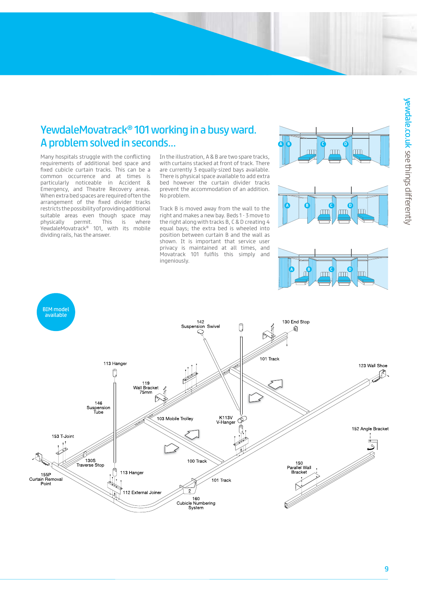# YewdaleMovatrack® 101 working in a busy ward. A problem solved in seconds...

Many hospitals struggle with the conflicting requirements of additional bed space and fixed cubicle curtain tracks. This can be a common occurrence and at times is particularly noticeable in Accident & Emergency, and Theatre Recovery areas. When extra bed spaces are required often the arrangement of the fixed divider tracks restricts the possibility of providing additional suitable areas even though space may physically permit. This is where YewdaleMovatrack® 101, with its mobile dividing rails, has the answer.

In the illustration, A & B are two spare tracks, with curtains stacked at front of track. There are currently 3 equally-sized bays available. There is physical space available to add extra bed however the curtain divider tracks prevent the accommodation of an addition. No problem.

Track B is moved away from the wall to the right and makes a new bay. Beds 1 - 3 move to the right along with tracks B, C & D creating 4 equal bays; the extra bed is wheeled into position between curtain B and the wall as shown. It is important that service user privacy is maintained at all times, and Movatrack 101 fulfils this simply and ingeniously.







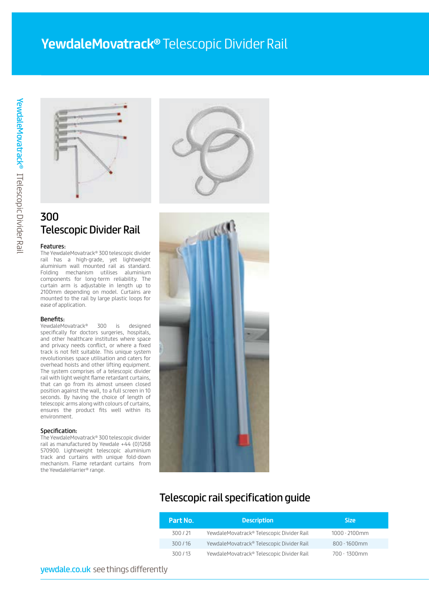# **YewdaleMovatrack®** Telescopic Divider Rail





# 300 Telescopic Divider Rail

### Features:

The YewdaleMovatrack® 300 telescopic divider rail has a high-grade, yet lightweight aluminium wall mounted rail as standard. Folding mechanism utilises aluminium components for long-term reliability. The curtain arm is adjustable in length up to 2100mm depending on model. Curtains are mounted to the rail by large plastic loops for ease of application.

Benefits:<br>YewdaleMovatrack® 300 is designed specifically for doctors surgeries, hospitals, and other healthcare institutes where space and privacy needs conflict, or where a fixed track is not felt suitable. This unique system revolutionises space utilisation and caters for overhead hoists and other lifting equipment. The system comprises of a telescopic divider rail with light weight flame retardant curtains, that can go from its almost unseen closed position against the wall, to a full screen in 10 seconds. By having the choice of length of telescopic arms along with colours of curtains, ensures the product fits well within its environment.

#### Specification:

The YewdaleMovatrack® 300 telescopic divider rail as manufactured by Yewdale +44 (0)1268 570900. Lightweight telescopic aluminium track and curtains with unique fold-down mechanism. Flame retardant curtains from the YewdaleHarrier® range.



# Telescopic rail specification guide

| Part No. | <b>Description</b>                        | <b>Size</b>     |
|----------|-------------------------------------------|-----------------|
| 300/21   | YewdaleMovatrack® Telescopic Divider Rail | 1000 - 2100mm   |
| 300/16   | YewdaleMovatrack® Telescopic Divider Rail | $800 - 1600$ mm |
| 300/13   | YewdaleMovatrack® Telescopic Divider Rail | 700 - 1300mm    |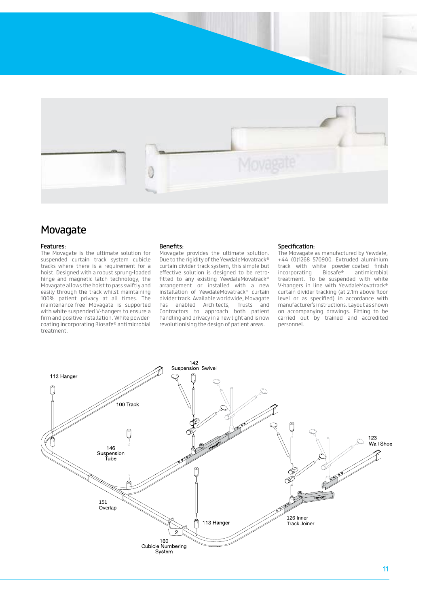

# Movagate

#### Features:

The Movagate is the ultimate solution for suspended curtain track system cubicle tracks where there is a requirement for a hoist. Designed with a robust sprung-loaded hinge and magnetic latch technology, the Movagate allows the hoist to pass swiftly and easily through the track whilst maintaining 100% patient privacy at all times. The maintenance-free Movagate is supported with white suspended V-hangers to ensure a firm and positive installation. White powdercoating incorporating Biosafe® antimicrobial treatment.

#### Benefits:

Movagate provides the ultimate solution. Due to the rigidity of the YewdaleMovatrack® curtain divider track system, this simple but effective solution is designed to be retrofitted to any existing YewdaleMovatrack® arrangement or installed with a new installation of YewdaleMovatrack® curtain divider track. Available worldwide, Movagate has enabled Architects, Trusts and Contractors to approach both patient handling and privacy in a new light and is now revolutionising the design of patient areas.

#### Specification:

The Movagate as manufactured by Yewdale, +44 (0)1268 570900. Extruded aluminium track with white powder-coated finish incorporating Biosafe® antimicrobial treatment. To be suspended with white V-hangers in line with YewdaleMovatrack® curtain divider tracking (at 2.1m above floor level or as specified) in accordance with manufacturer's instructions. Layout as shown on accompanying drawings. Fitting to be carried out by trained and accredited personnel.

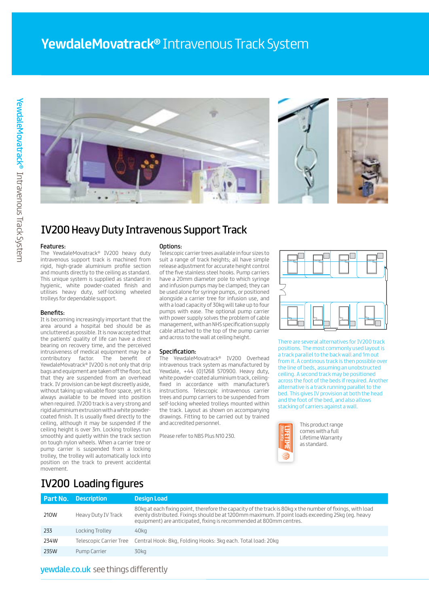

# IV200 Heavy Duty Intravenous Support Track

#### Features:

The YewdaleMovatrack® IV200 heavy duty intravenous support track is machined from rigid, high-grade aluminium profile section and mounts directly to the ceiling as standard. This unique system is supplied as standard in hygienic, white powder-coated finish and utilises heavy duty, self-locking wheeled trolleys for dependable support.

#### Benefits:

It is becoming increasingly important that the area around a hospital bed should be as uncluttered as possible. It is now accepted that the patients' quality of life can have a direct bearing on recovery time, and the perceived intrusiveness of medical equipment may be a contributory factor. The benefit of YewdaleMovatrack® IV200 is not only that drip bags and equipment are taken off the floor, but that they are suspended from an overhead track. IV provision can be kept discreetly aside, without taking up valuable floor space, yet it is always available to be moved into position when required. IV200 track is a very strong and rigid aluminium extrusion with a white powdercoated finish. It is usually fixed directly to the ceiling, although it may be suspended if the ceiling height is over 3m. Locking trolleys run smoothly and quietly within the track section on tough nylon wheels. When a carrier tree or pump carrier is suspended from a locking trolley, the trolley will automatically lock into position on the track to prevent accidental movement.

#### Options:

Telescopic carrier trees available in four sizes to suit a range of track heights; all have simple release adjustment for accurate height control of the five stainless steel hooks. Pump carriers have a 20mm diameter pole to which syringe and infusion pumps may be clamped; they can be used alone for syringe pumps, or positioned alongside a carrier tree for infusion use, and with a load capacity of 30kg will take up to four pumps with ease. The optional pump carrier with power supply solves the problem of cable management, with an NHS specification supply cable attached to the top of the pump carrier and across to the wall at ceiling height.

### Specification:

The YewdaleMovatrack® IV200 Overhead intravenous track system as manufactured by Yewdale, +44 (0)1268 570900. Heavy duty, white powder-coated aluminium track, ceilingfixed in accordance with manufacturer's instructions. Telescopic intravenous carrier trees and pump carriers to be suspended from self-locking wheeled trolleys mounted within the track. Layout as shown on accompanying drawings. Fitting to be carried out by trained and accredited personnel.

Please refer to NBS Plus N10 230.



There are several alternatives for IV200 track positions. The most commonly used layout is a track parallel to the back wall and 1m out from it. A continous track is then possible over the line of beds, assuming an unobstructed ceiling. A second track may be positioned across the foot of the beds if required. Another alternative is a track running parallel to the bed. This gives IV provision at both the head and the foot of the bed, and also allows stacking of carriers against a wall.



IV200 Loading figures

|      | <b>Part No.</b> Description | <b>Design Load</b>                                                                                                                                                                                                                                                                    |
|------|-----------------------------|---------------------------------------------------------------------------------------------------------------------------------------------------------------------------------------------------------------------------------------------------------------------------------------|
| 210W | Heavy Duty IV Track         | 80kg at each fixing point, therefore the capacity of the track is 80kg x the number of fixings, with load<br>evenly distributed. Fixings should be at 1200mm maximum. If point loads exceeding 25kg (eg. heavy<br>equipment) are anticipated, fixing is recommended at 800mm centres. |
| 233  | Locking Trolley             | 40ka                                                                                                                                                                                                                                                                                  |
| 234W |                             | Telescopic Carrier Tree Central Hook: 8kg, Folding Hooks: 3kg each. Total load: 20kg                                                                                                                                                                                                  |
| 235W | Pump Carrier                | 30ka                                                                                                                                                                                                                                                                                  |

# yewdale.co.uk [see things differently](http://www.yewdale.co.uk)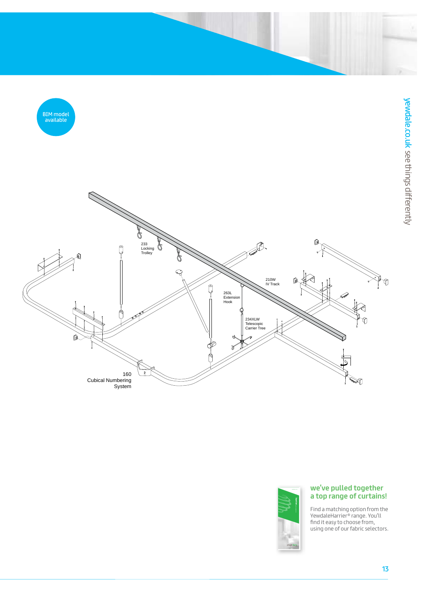



## **we've pulled together [a top range of curtains!](http://www.yewdale.co.uk/downloads)**

Find a matching option from the YewdaleHarrier® range. You'll find it easy to choose from, that it case to enobse from,<br>using one of our fabric selectors. **medway**fabric selector yewdale.co.uk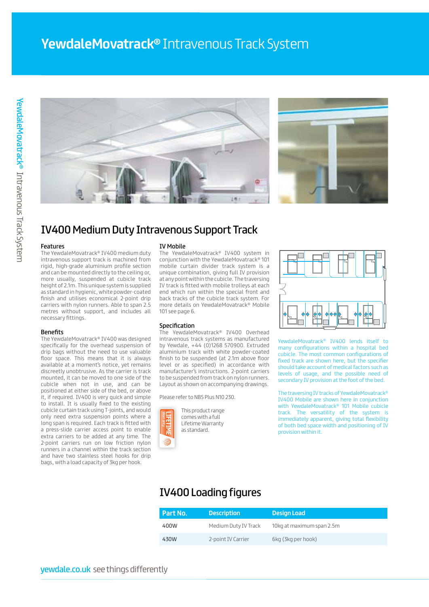



# IV400 Medium Duty Intravenous Support Track

#### Features

The YewdaleMovatrack® IV400 medium duty intravenous support track is machined from rigid, high-grade aluminium profile section and can be mounted directly to the ceiling or, more usually, suspended at cubicle track height of 2.1m. This unique system is supplied as standard in hygienic, white powder-coated finish and utilises economical 2-point drip carriers with nylon runners. Able to span 2.5 metres without support, and includes all necessary fittings.

#### Benefits

The YewdaleMovatrack® IV400 was designed specifically for the overhead suspension of drip bags without the need to use valuable floor space. This means that it is always available at a moment's notice, yet remains discreetly unobtrusive. As the carrier is track mounted, it can be moved to one side of the cubicle when not in use, and can be positioned at either side of the bed, or above it, if required. IV400 is very quick and simple to install. It is usually fixed to the existing cubicle curtain track using T-joints, and would only need extra suspension points where a long span is required. Each track is fitted with a press-slide carrier access point to enable extra carriers to be added at any time. The 2-point carriers run on low friction nylon runners in a channel within the track section and have two stainless steel hooks for drip bags, with a load capacity of 3kg per hook.

#### IV Mobile

The YewdaleMovatrack® IV400 system in conjunction with the YewdaleMovatrack® 101 mobile curtain divider track system is a unique combination, giving full IV provision at any point within the cubicle. The traversing IV track is fitted with mobile trolleys at each end which run within the special front and back tracks of the cubicle track system. For more details on YewdaleMovatrack® Mobile 101 see page 6.

#### Specification

The YewdaleMovatrack® IV400 Overhead intravenous track systems as manufactured by Yewdale, +44 (0)1268 570900. Extruded aluminium track with white powder-coated finish to be suspended (at 2.1m above floor level or as specified) in accordance with manufacturer's instructions. 2-point carriers to be suspended from track on nylon runners. Layout as shown on accompanying drawings.

Please refer to NBS Plus N10 230.



This product range comes with a full Lifetime Warranty as standard.



YewdaleMovatrack® IV400 lends itself to many configurations within a hospital bed cubicle. The most common configurations of fixed track are shown here, but the specifier should take account of medical factors such as levels of usage, and the possible need of secondary IV provision at the foot of the bed.

The traversing IV tracks of YewdaleMovatrack® IV400 Mobile are shown here in conjunction with YewdaleMovatrack® 101 Mobile cubicle track. The versatility of the system is immediately apparent, giving total flexibility of both bed space width and positioning of IV provision within it.

# IV400 Loading figures

| Part No. | <b>Description</b>   | <b>Design Load</b>        |
|----------|----------------------|---------------------------|
| 400W     | Medium Duty IV Track | 10kg at maximum span 2.5m |
| 430W     | 2-point IV Carrier   | 6kg (3kg per hook)        |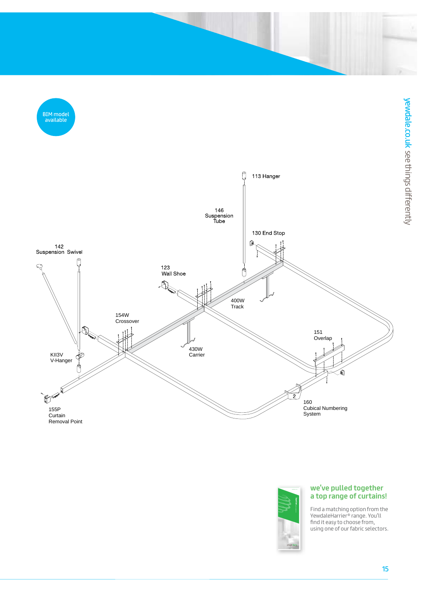[BIM model](http://www.yewdale.co.uk/prod/iv400-intravenous-support-track-medium-duty)  available





## **we've pulled together [a top range of curtains!](http://www.yewdale.co.uk/downloads)**

Find a matching option from the YewdaleHarrier® range. You'll find it easy to choose from, that it case to enobse from,<br>using one of our fabric selectors. **medway**fabric selector yewdale.co.uk

15